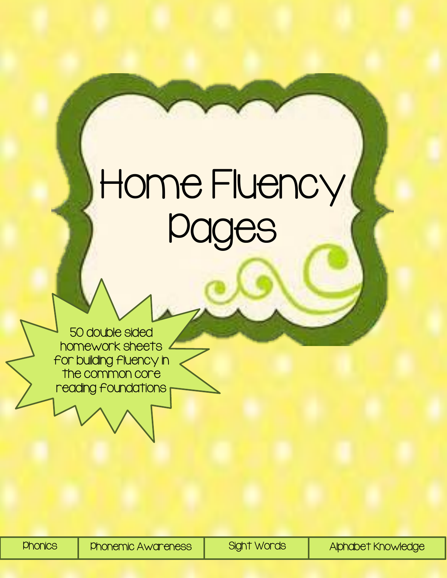## Home Fluency ( Pages

50 double sided homework sheets for building fluency in the common core reading foundations

Phonics Phonemic Awareness Sight Words Alphabet Knowledge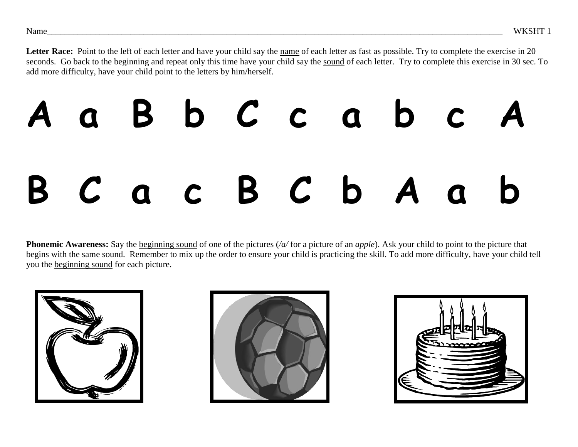Letter Race: Point to the left of each letter and have your child say the name of each letter as fast as possible. Try to complete the exercise in 20 seconds. Go back to the beginning and repeat only this time have your child say the sound of each letter. Try to complete this exercise in 30 sec. To add more difficulty, have your child point to the letters by him/herself.

## **A a B b C c a b c A B C a c B C b A a b**

**Phonemic Awareness:** Say the <u>beginning sound</u> of one of the pictures (/a/ for a picture of an *apple*). Ask your child to point to the picture that begins with the same sound. Remember to mix up the order to ensure your child is practicing the skill. To add more difficulty, have your child tell you the beginning sound for each picture.





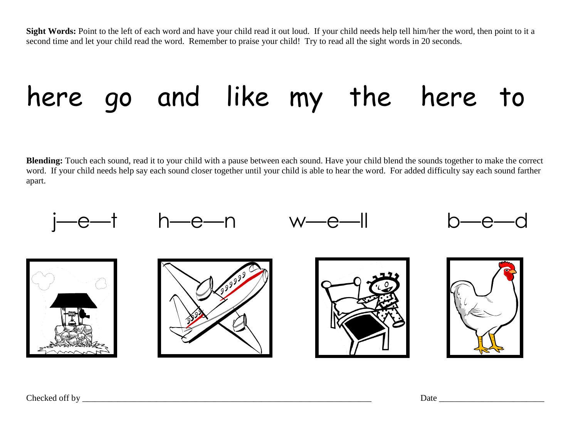Sight Words: Point to the left of each word and have your child read it out loud. If your child needs help tell him/her the word, then point to it a second time and let your child read the word. Remember to praise your child! Try to read all the sight words in 20 seconds.

## here go and like my the here to

**Blending:** Touch each sound, read it to your child with a pause between each sound. Have your child blend the sounds together to make the correct word. If your child needs help say each sound closer together until your child is able to hear the word. For added difficulty say each sound farther apart.



Checked off by \_\_\_\_\_\_\_\_\_\_\_\_\_\_\_\_\_\_\_\_\_\_\_\_\_\_\_\_\_\_\_\_\_\_\_\_\_\_\_\_\_\_\_\_\_\_\_\_\_\_\_\_\_\_\_\_\_\_\_\_\_\_\_\_\_\_ Date \_\_\_\_\_\_\_\_\_\_\_\_\_\_\_\_\_\_\_\_\_\_\_\_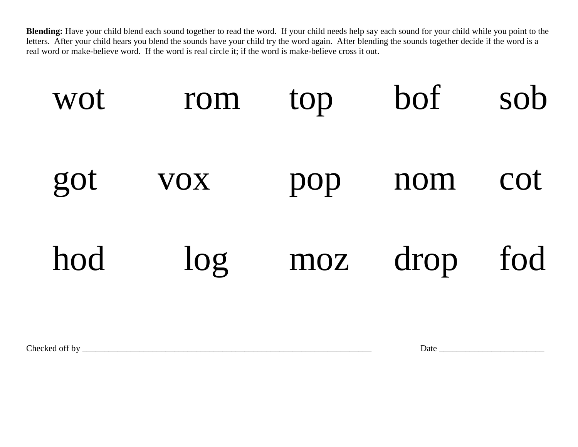**Blending:** Have your child blend each sound together to read the word. If your child needs help say each sound for your child while you point to the letters. After your child hears you blend the sounds have your child try the word again. After blending the sounds together decide if the word is a real word or make-believe word. If the word is real circle it; if the word is make-believe cross it out.



Checked off by \_\_\_\_\_\_\_\_\_\_\_\_\_\_\_\_\_\_\_\_\_\_\_\_\_\_\_\_\_\_\_\_\_\_\_\_\_\_\_\_\_\_\_\_\_\_\_\_\_\_\_\_\_\_\_\_\_\_\_\_\_\_\_\_\_\_ Date \_\_\_\_\_\_\_\_\_\_\_\_\_\_\_\_\_\_\_\_\_\_\_\_